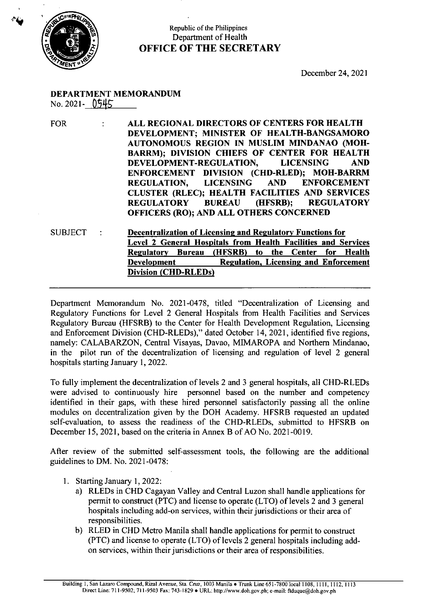

## Republic of the Philippines Department of Health OFFICE OF THE SECRETARY

December 24, <sup>2021</sup>

## DEPARTMENT MEMORANDUM

No. 2021- 0545

FOR : ALL REGIONAL DIRECTORS OF CENTERS FOR HEALTH DEVELOPMENT; MINISTER OF HEALTH-BANGSAMORO AUTONOMOUS REGION IN MUSLIM MINDANAO (MOH-BARRM); DIVISION CHIEFS OF CENTER FOR HEALTH DEVELOPMENT-REGULATION, LICENSING AND ENFORCEMENT DIVISION (CHD-RLED); MOH-BARRM REGULATION, LICENSING AND ENFORCEMENT CLUSTER (RLEC); HEALTH FACILITIES AND SERVICES REGULATORY BUREAU (HFSRB); REGULATORY OFFICERS (RO); AND ALL OTHERS CONCERNED

SUBJECT: Decentralization of Licensing and Regulatory Functions for Level 2 General Hospitals from Health Facilities and Services Regulatory Bureau (HFSRB) to the Center for Health<br>Development Regulation, Licensing and Enforcement Regulation, Licensing and Enforcement Division (CHD-RLEDs)

Department Memorandum No. 2021-0478, titled "Decentralization of Licensing and Regulatory Functions for Level 2 General Hospitals from Health Facilities and Services Regulatory Bureau (HFSRB) to the Center for Health Development Regulation, Licensing and Enforcement Division (CHD-RLEDs)," dated October 14, 2021, identified five regions, namely: CALABARZON, Central Visayas, Davao, MIMAROPA and Northern Mindanao, in the pilot run of the decentralization of licensing and regulation of level 2 general hospitals starting January 1, 2022.

To fully implement the decentralization of levels 2 and <sup>3</sup> general hospitals, all CHD-RLEDs were advised to continuously hire personnel based on the number and competency identified in their gaps, with these hired personnel satisfactorily passing all the online modules on decentralization given by the DOH Academy. HFSRB requested an updated self-evaluation, to assess the readiness of the CHD-RLEDs, submitted to HFSRB on December 15, 2021, based on the criteria in Annex <sup>B</sup> of AO No. 2021-0019.

After review of the submitted self-assessment tools, the following are the additional guidelines to DM. No. 2021-0478:

- 1. Starting January 1, 2022:
	- a) RLEDsin CHD Cagayan Valley and Central Luzon shall handle applications for permit to construct (PTC) and license to operate (LTO) of levels 2 and 3 general hospitals including add-on services, within their jurisdictions or their area of responsibilities.
	- b) RLED in CHD Metro Manila shalt handle applications for permit to construct (PTC) and license to operate (LTO) of levels 2 general hospitals including addon services, within their jurisdictions or their area of responsibilities.